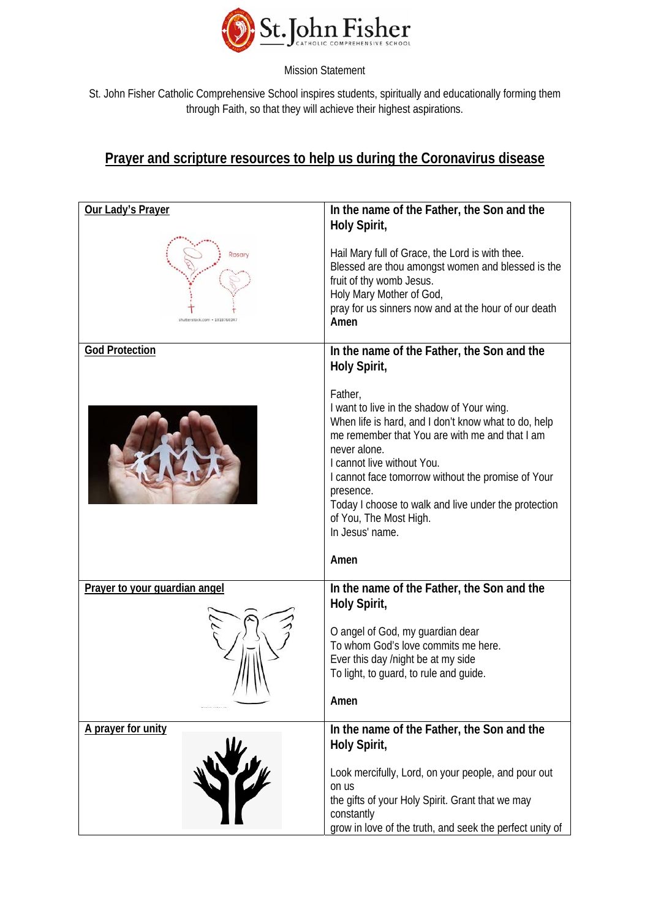

St. John Fisher Catholic Comprehensive School inspires students, spiritually and educationally forming them through Faith, so that they will achieve their highest aspirations.

## **Prayer and scripture resources to help us during the Coronavirus disease**

| Our Lady's Prayer                       | In the name of the Father, the Son and the<br>Holy Spirit,                                                                                                                                                                                                                                                                                                                                    |
|-----------------------------------------|-----------------------------------------------------------------------------------------------------------------------------------------------------------------------------------------------------------------------------------------------------------------------------------------------------------------------------------------------------------------------------------------------|
| Rosary<br>shutterstock.com - 1018760347 | Hail Mary full of Grace, the Lord is with thee.<br>Blessed are thou amongst women and blessed is the<br>fruit of thy womb Jesus.<br>Holy Mary Mother of God,<br>pray for us sinners now and at the hour of our death<br>Amen                                                                                                                                                                  |
| <b>God Protection</b>                   | In the name of the Father, the Son and the<br>Holy Spirit,                                                                                                                                                                                                                                                                                                                                    |
|                                         | Father,<br>I want to live in the shadow of Your wing.<br>When life is hard, and I don't know what to do, help<br>me remember that You are with me and that I am<br>never alone.<br>I cannot live without You.<br>I cannot face tomorrow without the promise of Your<br>presence.<br>Today I choose to walk and live under the protection<br>of You, The Most High.<br>In Jesus' name.<br>Amen |
|                                         |                                                                                                                                                                                                                                                                                                                                                                                               |
| Prayer to your guardian angel           | In the name of the Father, the Son and the<br>Holy Spirit,<br>O angel of God, my guardian dear<br>To whom God's love commits me here.<br>Ever this day /night be at my side<br>To light, to guard, to rule and guide.<br>Amen                                                                                                                                                                 |
| A prayer for unity                      | In the name of the Father, the Son and the<br>Holy Spirit,<br>Look mercifully, Lord, on your people, and pour out<br>on us<br>the gifts of your Holy Spirit. Grant that we may<br>constantly<br>grow in love of the truth, and seek the perfect unity of                                                                                                                                      |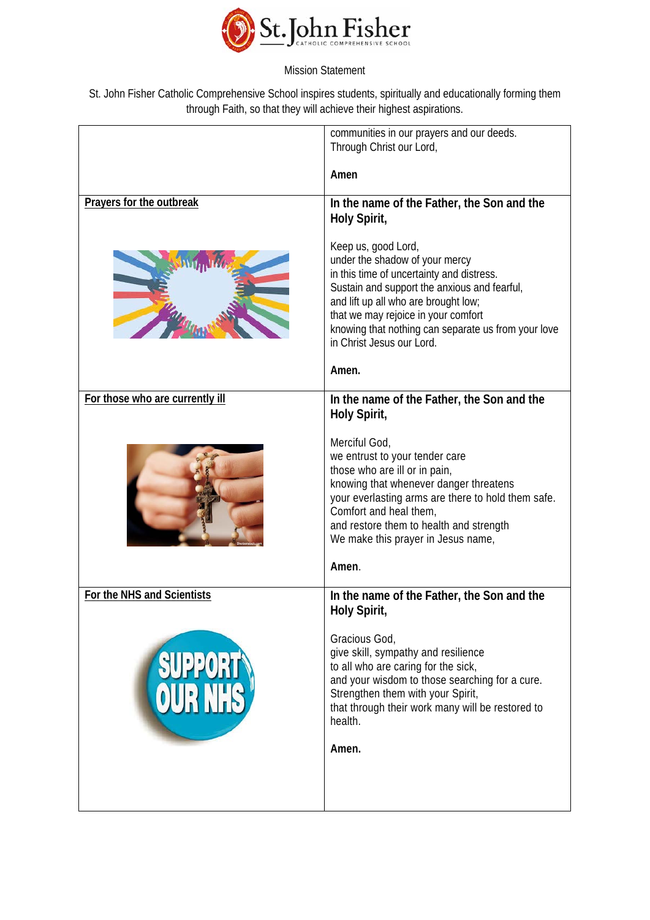

St. John Fisher Catholic Comprehensive School inspires students, spiritually and educationally forming them through Faith, so that they will achieve their highest aspirations.

|                                 | communities in our prayers and our deeds.<br>Through Christ our Lord,                                                                                                                                                                                                                                                                                              |
|---------------------------------|--------------------------------------------------------------------------------------------------------------------------------------------------------------------------------------------------------------------------------------------------------------------------------------------------------------------------------------------------------------------|
|                                 | Amen                                                                                                                                                                                                                                                                                                                                                               |
| Prayers for the outbreak        | In the name of the Father, the Son and the<br>Holy Spirit,                                                                                                                                                                                                                                                                                                         |
|                                 | Keep us, good Lord,<br>under the shadow of your mercy<br>in this time of uncertainty and distress.<br>Sustain and support the anxious and fearful,<br>and lift up all who are brought low;<br>that we may rejoice in your comfort<br>knowing that nothing can separate us from your love<br>in Christ Jesus our Lord.                                              |
|                                 | Amen.                                                                                                                                                                                                                                                                                                                                                              |
| For those who are currently ill | In the name of the Father, the Son and the<br>Holy Spirit,<br>Merciful God,<br>we entrust to your tender care<br>those who are ill or in pain,<br>knowing that whenever danger threatens<br>your everlasting arms are there to hold them safe.<br>Comfort and heal them,<br>and restore them to health and strength<br>We make this prayer in Jesus name,<br>Amen. |
| For the NHS and Scientists      | In the name of the Father, the Son and the<br>Holy Spirit,                                                                                                                                                                                                                                                                                                         |
| SUPPORT                         | Gracious God,<br>give skill, sympathy and resilience<br>to all who are caring for the sick,<br>and your wisdom to those searching for a cure.<br>Strengthen them with your Spirit,<br>that through their work many will be restored to<br>health.<br>Amen.                                                                                                         |
|                                 |                                                                                                                                                                                                                                                                                                                                                                    |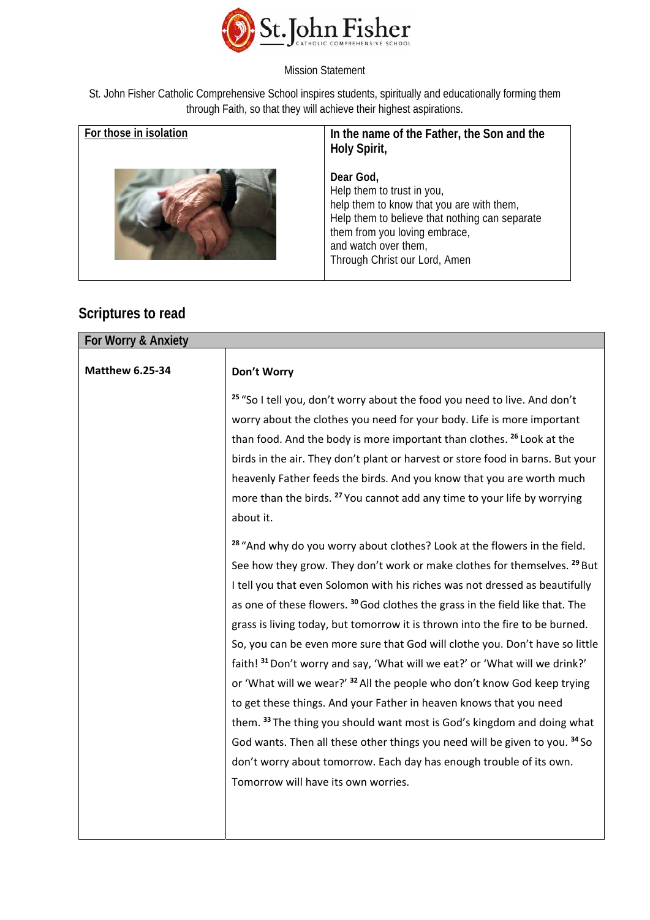

St. John Fisher Catholic Comprehensive School inspires students, spiritually and educationally forming them through Faith, so that they will achieve their highest aspirations.

| For those in isolation | In the name of the Father, the Son and the<br>Holy Spirit,                                                                                                                                                                       |
|------------------------|----------------------------------------------------------------------------------------------------------------------------------------------------------------------------------------------------------------------------------|
|                        | Dear God,<br>Help them to trust in you,<br>help them to know that you are with them,<br>Help them to believe that nothing can separate<br>them from you loving embrace,<br>and watch over them,<br>Through Christ our Lord, Amen |

## **Scriptures to read**

| For Worry & Anxiety    |                                                                                                                                                                                                                                                                                                                                                                                                                                                                                                                                                                                                                                                                                                                                                                                                                                                                                                                                                                                                                                                                                                                                                                                                                                                                                                                                                                                                                                                                                                                                                        |  |
|------------------------|--------------------------------------------------------------------------------------------------------------------------------------------------------------------------------------------------------------------------------------------------------------------------------------------------------------------------------------------------------------------------------------------------------------------------------------------------------------------------------------------------------------------------------------------------------------------------------------------------------------------------------------------------------------------------------------------------------------------------------------------------------------------------------------------------------------------------------------------------------------------------------------------------------------------------------------------------------------------------------------------------------------------------------------------------------------------------------------------------------------------------------------------------------------------------------------------------------------------------------------------------------------------------------------------------------------------------------------------------------------------------------------------------------------------------------------------------------------------------------------------------------------------------------------------------------|--|
| <b>Matthew 6.25-34</b> | Don't Worry                                                                                                                                                                                                                                                                                                                                                                                                                                                                                                                                                                                                                                                                                                                                                                                                                                                                                                                                                                                                                                                                                                                                                                                                                                                                                                                                                                                                                                                                                                                                            |  |
|                        | <sup>25</sup> "So I tell you, don't worry about the food you need to live. And don't<br>worry about the clothes you need for your body. Life is more important<br>than food. And the body is more important than clothes. 26 Look at the<br>birds in the air. They don't plant or harvest or store food in barns. But your<br>heavenly Father feeds the birds. And you know that you are worth much<br>more than the birds. <sup>27</sup> You cannot add any time to your life by worrying<br>about it.<br><sup>28</sup> "And why do you worry about clothes? Look at the flowers in the field.<br>See how they grow. They don't work or make clothes for themselves. <sup>29</sup> But<br>I tell you that even Solomon with his riches was not dressed as beautifully<br>as one of these flowers. <sup>30</sup> God clothes the grass in the field like that. The<br>grass is living today, but tomorrow it is thrown into the fire to be burned.<br>So, you can be even more sure that God will clothe you. Don't have so little<br>faith! 31 Don't worry and say, 'What will we eat?' or 'What will we drink?'<br>or 'What will we wear?' <sup>32</sup> All the people who don't know God keep trying<br>to get these things. And your Father in heaven knows that you need<br>them. 33 The thing you should want most is God's kingdom and doing what<br>God wants. Then all these other things you need will be given to you. 34 So<br>don't worry about tomorrow. Each day has enough trouble of its own.<br>Tomorrow will have its own worries. |  |
|                        |                                                                                                                                                                                                                                                                                                                                                                                                                                                                                                                                                                                                                                                                                                                                                                                                                                                                                                                                                                                                                                                                                                                                                                                                                                                                                                                                                                                                                                                                                                                                                        |  |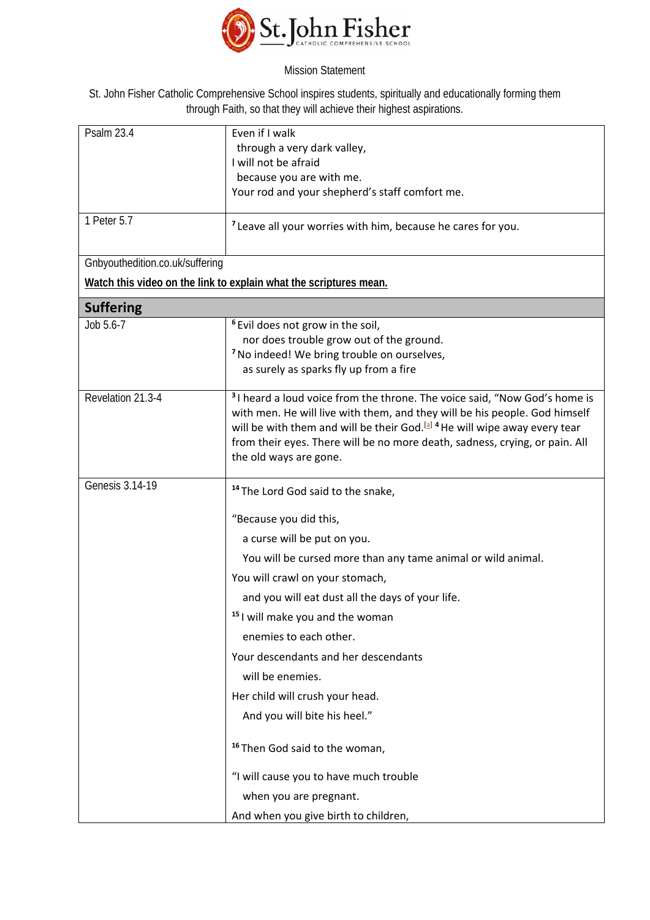

St. John Fisher Catholic Comprehensive School inspires students, spiritually and educationally forming them through Faith, so that they will achieve their highest aspirations.

| <b>Psalm 23.4</b>               | Even if I walk                                                                                    |
|---------------------------------|---------------------------------------------------------------------------------------------------|
|                                 | through a very dark valley,                                                                       |
|                                 | I will not be afraid                                                                              |
|                                 | because you are with me.<br>Your rod and your shepherd's staff comfort me.                        |
|                                 |                                                                                                   |
| 1 Peter 5.7                     | <sup>7</sup> Leave all your worries with him, because he cares for you.                           |
|                                 |                                                                                                   |
| Gnbyouthedition.co.uk/suffering |                                                                                                   |
|                                 | Watch this video on the link to explain what the scriptures mean.                                 |
| <b>Suffering</b>                |                                                                                                   |
| Job 5.6-7                       | <sup>6</sup> Evil does not grow in the soil,                                                      |
|                                 | nor does trouble grow out of the ground.                                                          |
|                                 | <sup>7</sup> No indeed! We bring trouble on ourselves,                                            |
|                                 | as surely as sparks fly up from a fire                                                            |
| Revelation 21.3-4               | <sup>3</sup> I heard a loud voice from the throne. The voice said, "Now God's home is             |
|                                 | with men. He will live with them, and they will be his people. God himself                        |
|                                 | will be with them and will be their God. <sup>[a]</sup> <sup>4</sup> He will wipe away every tear |
|                                 | from their eyes. There will be no more death, sadness, crying, or pain. All                       |
|                                 | the old ways are gone.                                                                            |
| Genesis 3.14-19                 | <sup>14</sup> The Lord God said to the snake,                                                     |
|                                 | "Because you did this,                                                                            |
|                                 | a curse will be put on you.                                                                       |
|                                 | You will be cursed more than any tame animal or wild animal.                                      |
|                                 | You will crawl on your stomach,                                                                   |
|                                 | and you will eat dust all the days of your life.                                                  |
|                                 | <sup>15</sup> I will make you and the woman                                                       |
|                                 | enemies to each other.                                                                            |
|                                 | Your descendants and her descendants                                                              |
|                                 | will be enemies.                                                                                  |
|                                 | Her child will crush your head.                                                                   |
|                                 | And you will bite his heel."                                                                      |
|                                 | <sup>16</sup> Then God said to the woman,                                                         |
|                                 | "I will cause you to have much trouble                                                            |
|                                 | when you are pregnant.                                                                            |
|                                 | And when you give birth to children,                                                              |